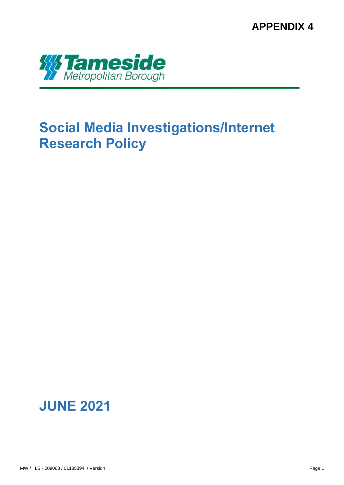**APPENDIX 4**



# **Social Media Investigations/Internet Research Policy**

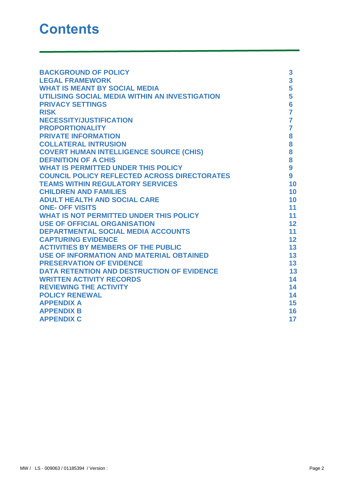| <b>BACKGROUND OF POLICY</b>                         | 3              |
|-----------------------------------------------------|----------------|
| <b>LEGAL FRAMEWORK</b>                              | 3              |
| <b>WHAT IS MEANT BY SOCIAL MEDIA</b>                | 5              |
| UTILISING SOCIAL MEDIA WITHIN AN INVESTIGATION      | 5              |
| <b>PRIVACY SETTINGS</b>                             | $6\phantom{a}$ |
| <b>RISK</b>                                         | $\overline{7}$ |
| <b>NECESSITY/JUSTIFICATION</b>                      | $\overline{7}$ |
| <b>PROPORTIONALITY</b>                              | $\overline{7}$ |
| <b>PRIVATE INFORMATION</b>                          | 8              |
| <b>COLLATERAL INTRUSION</b>                         | 8              |
| <b>COVERT HUMAN INTELLIGENCE SOURCE (CHIS)</b>      | 8              |
| <b>DEFINITION OF A CHIS</b>                         | 8              |
| <b>WHAT IS PERMITTED UNDER THIS POLICY</b>          | 9              |
| <b>COUNCIL POLICY REFLECTED ACROSS DIRECTORATES</b> | 9              |
| <b>TEAMS WITHIN REGULATORY SERVICES</b>             | 10             |
| <b>CHILDREN AND FAMILIES</b>                        | 10             |
| <b>ADULT HEALTH AND SOCIAL CARE</b>                 | 10             |
| <b>ONE- OFF VISITS</b>                              | 11             |
| <b>WHAT IS NOT PERMITTED UNDER THIS POLICY</b>      | 11             |
| <b>USE OF OFFICIAL ORGANISATION</b>                 | 12             |
| <b>DEPARTMENTAL SOCIAL MEDIA ACCOUNTS</b>           | 11             |
| <b>CAPTURING EVIDENCE</b>                           | 12             |
| <b>ACTIVITIES BY MEMBERS OF THE PUBLIC</b>          | 13             |
| <b>USE OF INFORMATION AND MATERIAL OBTAINED</b>     | 13             |
| <b>PRESERVATION OF EVIDENCE</b>                     | 13             |
| <b>DATA RETENTION AND DESTRUCTION OF EVIDENCE</b>   | 13             |
| <b>WRITTEN ACTIVITY RECORDS</b>                     | 14             |
| <b>REVIEWING THE ACTIVITY</b>                       | 14             |
| <b>POLICY RENEWAL</b>                               | 14             |
| <b>APPENDIX A</b>                                   | 15             |
| <b>APPENDIX B</b>                                   | 16             |
| <b>APPENDIX C</b>                                   | 17             |
|                                                     |                |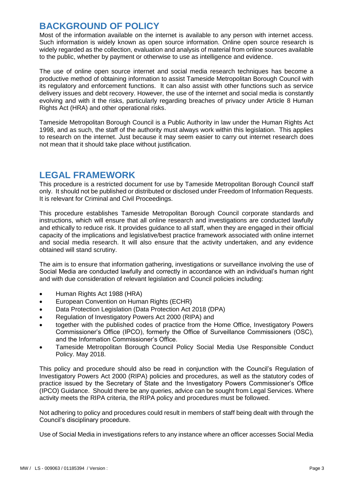#### **BACKGROUND OF POLICY**

Most of the information available on the internet is available to any person with internet access. Such information is widely known as open source information. Online open source research is widely regarded as the collection, evaluation and analysis of material from online sources available to the public, whether by payment or otherwise to use as intelligence and evidence.

The use of online open source internet and social media research techniques has become a productive method of obtaining information to assist Tameside Metropolitan Borough Council with its regulatory and enforcement functions. It can also assist with other functions such as service delivery issues and debt recovery. However, the use of the internet and social media is constantly evolving and with it the risks, particularly regarding breaches of privacy under Article 8 Human Rights Act (HRA) and other operational risks.

Tameside Metropolitan Borough Council is a Public Authority in law under the Human Rights Act 1998, and as such, the staff of the authority must always work within this legislation. This applies to research on the internet. Just because it may seem easier to carry out internet research does not mean that it should take place without justification.

#### **LEGAL FRAMEWORK**

This procedure is a restricted document for use by Tameside Metropolitan Borough Council staff only. It should not be published or distributed or disclosed under Freedom of Information Requests. It is relevant for Criminal and Civil Proceedings.

This procedure establishes Tameside Metropolitan Borough Council corporate standards and instructions, which will ensure that all online research and investigations are conducted lawfully and ethically to reduce risk. It provides guidance to all staff, when they are engaged in their official capacity of the implications and legislative/best practice framework associated with online internet and social media research. It will also ensure that the activity undertaken, and any evidence obtained will stand scrutiny.

The aim is to ensure that information gathering, investigations or surveillance involving the use of Social Media are conducted lawfully and correctly in accordance with an individual's human right and with due consideration of relevant legislation and Council policies including:

- Human Rights Act 1988 (HRA)
- European Convention on Human Rights (ECHR)
- Data Protection Legislation (Data Protection Act 2018 (DPA)
- Regulation of Investigatory Powers Act 2000 (RIPA) and
- together with the published codes of practice from the Home Office, Investigatory Powers Commissioner's Office (IPCO), formerly the Office of Surveillance Commissioners (OSC), and the Information Commissioner's Office.
- Tameside Metropolitan Borough Council Policy Social Media Use Responsible Conduct Policy. May 2018.

This policy and procedure should also be read in conjunction with the Council's Regulation of Investigatory Powers Act 2000 (RIPA) policies and procedures, as well as the statutory codes of practice issued by the Secretary of State and the Investigatory Powers Commissioner's Office (IPCO) Guidance. Should there be any queries, advice can be sought from Legal Services. Where activity meets the RIPA criteria, the RIPA policy and procedures must be followed.

Not adhering to policy and procedures could result in members of staff being dealt with through the Council's disciplinary procedure.

Use of Social Media in investigations refers to any instance where an officer accesses Social Media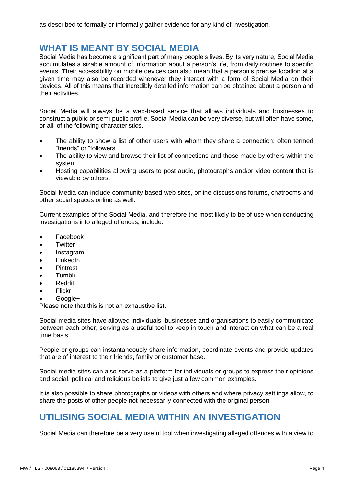### **WHAT IS MEANT BY SOCIAL MEDIA**

Social Media has become a significant part of many people's lives. By its very nature, Social Media accumulates a sizable amount of information about a person's life, from daily routines to specific events. Their accessibility on mobile devices can also mean that a person's precise location at a given time may also be recorded whenever they interact with a form of Social Media on their devices. All of this means that incredibly detailed information can be obtained about a person and their activities.

Social Media will always be a web-based service that allows individuals and businesses to construct a public or semi-public profile. Social Media can be very diverse, but will often have some, or all, of the following characteristics.

- The ability to show a list of other users with whom they share a connection; often termed "friends" or "followers".
- The ability to view and browse their list of connections and those made by others within the system
- Hosting capabilities allowing users to post audio, photographs and/or video content that is viewable by others.

Social Media can include community based web sites, online discussions forums, chatrooms and other social spaces online as well.

Current examples of the Social Media, and therefore the most likely to be of use when conducting investigations into alleged offences, include:

- Facebook
- **Twitter**
- Instagram
- LinkedIn
- Pintrest
- Tumblr
- Reddit
- Flickr
- Google+

Please note that this is not an exhaustive list.

Social media sites have allowed individuals, businesses and organisations to easily communicate between each other, serving as a useful tool to keep in touch and interact on what can be a real time basis.

People or groups can instantaneously share information, coordinate events and provide updates that are of interest to their friends, family or customer base.

Social media sites can also serve as a platform for individuals or groups to express their opinions and social, political and religious beliefs to give just a few common examples.

It is also possible to share photographs or videos with others and where privacy settlings allow, to share the posts of other people not necessarily connected with the original person.

### **UTILISING SOCIAL MEDIA WITHIN AN INVESTIGATION**

Social Media can therefore be a very useful tool when investigating alleged offences with a view to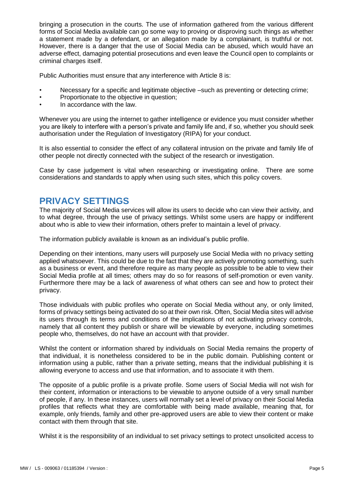bringing a prosecution in the courts. The use of information gathered from the various different forms of Social Media available can go some way to proving or disproving such things as whether a statement made by a defendant, or an allegation made by a complainant, is truthful or not. However, there is a danger that the use of Social Media can be abused, which would have an adverse effect, damaging potential prosecutions and even leave the Council open to complaints or criminal charges itself.

Public Authorities must ensure that any interference with Article 8 is:

- Necessary for a specific and legitimate objective –such as preventing or detecting crime;
- Proportionate to the objective in question;
- In accordance with the law.

Whenever you are using the internet to gather intelligence or evidence you must consider whether you are likely to interfere with a person's private and family life and, if so, whether you should seek authorisation under the Regulation of Investigatory (RIPA) for your conduct.

It is also essential to consider the effect of any collateral intrusion on the private and family life of other people not directly connected with the subject of the research or investigation.

Case by case judgement is vital when researching or investigating online. There are some considerations and standards to apply when using such sites, which this policy covers.

#### **PRIVACY SETTINGS**

The majority of Social Media services will allow its users to decide who can view their activity, and to what degree, through the use of privacy settings. Whilst some users are happy or indifferent about who is able to view their information, others prefer to maintain a level of privacy.

The information publicly available is known as an individual's public profile.

Depending on their intentions, many users will purposely use Social Media with no privacy setting applied whatsoever. This could be due to the fact that they are actively promoting something, such as a business or event, and therefore require as many people as possible to be able to view their Social Media profile at all times; others may do so for reasons of self-promotion or even vanity. Furthermore there may be a lack of awareness of what others can see and how to protect their privacy.

Those individuals with public profiles who operate on Social Media without any, or only limited, forms of privacy settings being activated do so at their own risk. Often, Social Media sites will advise its users through its terms and conditions of the implications of not activating privacy controls, namely that all content they publish or share will be viewable by everyone, including sometimes people who, themselves, do not have an account with that provider.

Whilst the content or information shared by individuals on Social Media remains the property of that individual, it is nonetheless considered to be in the public domain. Publishing content or information using a public, rather than a private setting, means that the individual publishing it is allowing everyone to access and use that information, and to associate it with them.

The opposite of a public profile is a private profile. Some users of Social Media will not wish for their content, information or interactions to be viewable to anyone outside of a very small number of people, if any. In these instances, users will normally set a level of privacy on their Social Media profiles that reflects what they are comfortable with being made available, meaning that, for example, only friends, family and other pre-approved users are able to view their content or make contact with them through that site.

Whilst it is the responsibility of an individual to set privacy settings to protect unsolicited access to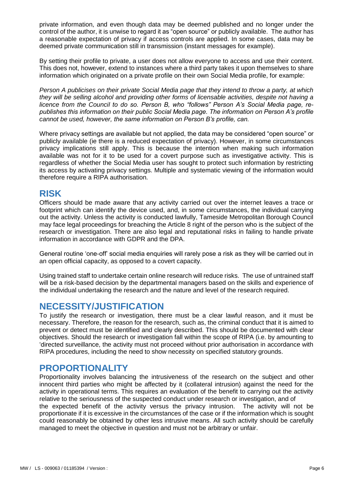private information, and even though data may be deemed published and no longer under the control of the author, it is unwise to regard it as "open source" or publicly available. The author has a reasonable expectation of privacy if access controls are applied. In some cases, data may be deemed private communication still in transmission (instant messages for example).

By setting their profile to private, a user does not allow everyone to access and use their content. This does not, however, extend to instances where a third party takes it upon themselves to share information which originated on a private profile on their own Social Media profile, for example:

*Person A publicises on their private Social Media page that they intend to throw a party, at which they will be selling alcohol and providing other forms of licensable activities, despite not having a licence from the Council to do so. Person B, who "follows" Person A's Social Media page, republishes this information on their public Social Media page. The information on Person A's profile cannot be used, however, the same information on Person B's profile, can.*

Where privacy settings are available but not applied, the data may be considered "open source" or publicly available (ie there is a reduced expectation of privacy). However, in some circumstances privacy implications still apply. This is because the intention when making such information available was not for it to be used for a covert purpose such as investigative activity. This is regardless of whether the Social Media user has sought to protect such information by restricting its access by activating privacy settings. Multiple and systematic viewing of the information would therefore require a RIPA authorisation.

#### **RISK**

Officers should be made aware that any activity carried out over the internet leaves a trace or footprint which can identify the device used, and, in some circumstances, the individual carrying out the activity. Unless the activity is conducted lawfully, Tameside Metropolitan Borough Council may face legal proceedings for breaching the Article 8 right of the person who is the subject of the research or investigation. There are also legal and reputational risks in failing to handle private information in accordance with GDPR and the DPA.

General routine 'one-off' social media enquiries will rarely pose a risk as they will be carried out in an open official capacity, as opposed to a covert capacity.

Using trained staff to undertake certain online research will reduce risks. The use of untrained staff will be a risk-based decision by the departmental managers based on the skills and experience of the individual undertaking the research and the nature and level of the research required.

#### **NECESSITY/JUSTIFICATION**

To justify the research or investigation, there must be a clear lawful reason, and it must be necessary. Therefore, the reason for the research, such as, the criminal conduct that it is aimed to prevent or detect must be identified and clearly described. This should be documented with clear objectives. Should the research or investigation fall within the scope of RIPA (i.e. by amounting to 'directed surveillance, the activity must not proceed without prior authorisation in accordance with RIPA procedures, including the need to show necessity on specified statutory grounds.

#### **PROPORTIONALITY**

Proportionality involves balancing the intrusiveness of the research on the subject and other innocent third parties who might be affected by it (collateral intrusion) against the need for the activity in operational terms. This requires an evaluation of the benefit to carrying out the activity relative to the seriousness of the suspected conduct under research or investigation, and of the expected benefit of the activity versus the privacy intrusion. The activity will not be proportionate if it is excessive in the circumstances of the case or if the information which is sought could reasonably be obtained by other less intrusive means. All such activity should be carefully managed to meet the objective in question and must not be arbitrary or unfair.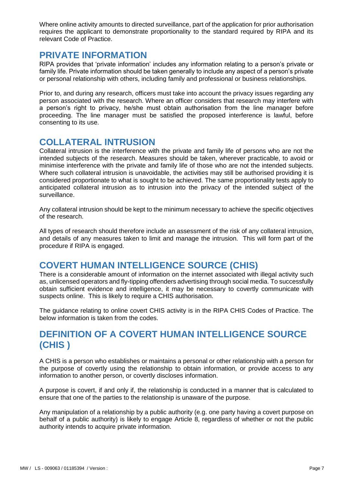Where online activity amounts to directed surveillance, part of the application for prior authorisation requires the applicant to demonstrate proportionality to the standard required by RIPA and its relevant Code of Practice.

#### **PRIVATE INFORMATION**

RIPA provides that 'private information' includes any information relating to a person's private or family life. Private information should be taken generally to include any aspect of a person's private or personal relationship with others, including family and professional or business relationships.

Prior to, and during any research, officers must take into account the privacy issues regarding any person associated with the research. Where an officer considers that research may interfere with a person's right to privacy, he/she must obtain authorisation from the line manager before proceeding. The line manager must be satisfied the proposed interference is lawful, before consenting to its use.

#### **COLLATERAL INTRUSION**

Collateral intrusion is the interference with the private and family life of persons who are not the intended subjects of the research. Measures should be taken, wherever practicable, to avoid or minimise interference with the private and family life of those who are not the intended subjects. Where such collateral intrusion is unavoidable, the activities may still be authorised providing it is considered proportionate to what is sought to be achieved. The same proportionality tests apply to anticipated collateral intrusion as to intrusion into the privacy of the intended subject of the surveillance.

Any collateral intrusion should be kept to the minimum necessary to achieve the specific objectives of the research.

All types of research should therefore include an assessment of the risk of any collateral intrusion, and details of any measures taken to limit and manage the intrusion. This will form part of the procedure if RIPA is engaged.

#### **COVERT HUMAN INTELLIGENCE SOURCE (CHIS)**

There is a considerable amount of information on the internet associated with illegal activity such as, unlicensed operators and fly-tipping offenders advertising through social media. To successfully obtain sufficient evidence and intelligence, it may be necessary to covertly communicate with suspects online. This is likely to require a CHIS authorisation.

The guidance relating to online covert CHIS activity is in the RIPA CHIS Codes of Practice. The below information is taken from the codes.

### **DEFINITION OF A COVERT HUMAN INTELLIGENCE SOURCE (CHIS )**

A CHIS is a person who establishes or maintains a personal or other relationship with a person for the purpose of covertly using the relationship to obtain information, or provide access to any information to another person, or covertly discloses information.

A purpose is covert, if and only if, the relationship is conducted in a manner that is calculated to ensure that one of the parties to the relationship is unaware of the purpose.

Any manipulation of a relationship by a public authority (e.g. one party having a covert purpose on behalf of a public authority) is likely to engage Article 8, regardless of whether or not the public authority intends to acquire private information.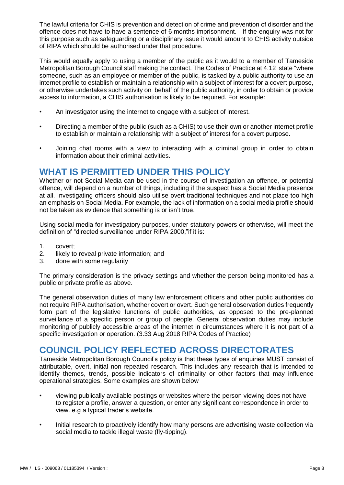The lawful criteria for CHIS is prevention and detection of crime and prevention of disorder and the offence does not have to have a sentence of 6 months imprisonment. If the enquiry was not for this purpose such as safeguarding or a disciplinary issue it would amount to CHIS activity outside of RIPA which should be authorised under that procedure.

This would equally apply to using a member of the public as it would to a member of Tameside Metropolitan Borough Council staff making the contact. The Codes of Practice at 4.12 state "where someone, such as an employee or member of the public, is tasked by a public authority to use an internet profile to establish or maintain a relationship with a subject of interest for a covert purpose, or otherwise undertakes such activity on behalf of the public authority, in order to obtain or provide access to information, a CHIS authorisation is likely to be required. For example:

- An investigator using the internet to engage with a subject of interest.
- Directing a member of the public (such as a CHIS) to use their own or another internet profile to establish or maintain a relationship with a subject of interest for a covert purpose.
- Joining chat rooms with a view to interacting with a criminal group in order to obtain information about their criminal activities.

#### **WHAT IS PERMITTED UNDER THIS POLICY**

Whether or not Social Media can be used in the course of investigation an offence, or potential offence, will depend on a number of things, including if the suspect has a Social Media presence at all. Investigating officers should also utilise overt traditional techniques and not place too high an emphasis on Social Media. For example, the lack of information on a social media profile should not be taken as evidence that something is or isn't true.

Using social media for investigatory purposes, under statutory powers or otherwise, will meet the definition of "directed surveillance under RIPA 2000,"if it is:

- 1. covert;
- 2. likely to reveal private information; and
- 3. done with some regularity

The primary consideration is the privacy settings and whether the person being monitored has a public or private profile as above.

The general observation duties of many law enforcement officers and other public authorities do not require RIPA authorisation, whether covert or overt. Such general observation duties frequently form part of the legislative functions of public authorities, as opposed to the pre-planned surveillance of a specific person or group of people. General observation duties may include monitoring of publicly accessible areas of the internet in circumstances where it is not part of a specific investigation or operation. (3.33 Aug 2018 RIPA Codes of Practice)

#### **COUNCIL POLICY REFLECTED ACROSS DIRECTORATES**

Tameside Metropolitan Borough Council's policy is that these types of enquiries MUST consist of attributable, overt, initial non-repeated research. This includes any research that is intended to identify themes, trends, possible indicators of criminality or other factors that may influence operational strategies. Some examples are shown below

- viewing publically available postings or websites where the person viewing does not have to register a profile, answer a question, or enter any significant correspondence in order to view. e.g a typical trader's website.
- Initial research to proactively identify how many persons are advertising waste collection via social media to tackle illegal waste (fly-tipping).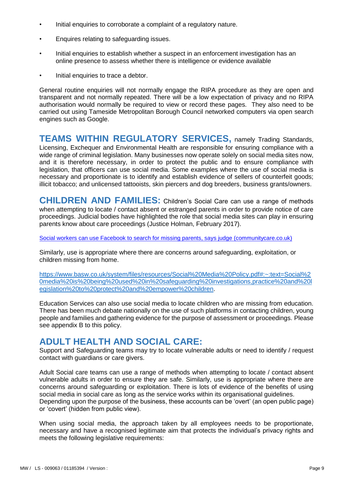- Initial enquiries to corroborate a complaint of a regulatory nature.
- Enquires relating to safeguarding issues.
- Initial enquiries to establish whether a suspect in an enforcement investigation has an online presence to assess whether there is intelligence or evidence available
- Initial enquiries to trace a debtor.

General routine enquiries will not normally engage the RIPA procedure as they are open and transparent and not normally repeated. There will be a low expectation of privacy and no RIPA authorisation would normally be required to view or record these pages. They also need to be carried out using Tameside Metropolitan Borough Council networked computers via open search engines such as Google.

**TEAMS WITHIN REGULATORY SERVICES,** namely Trading Standards, Licensing, Exchequer and Environmental Health are responsible for ensuring compliance with a wide range of criminal legislation. Many businesses now operate solely on social media sites now, and it is therefore necessary, in order to protect the public and to ensure compliance with legislation, that officers can use social media. Some examples where the use of social media is necessary and proportionate is to identify and establish evidence of sellers of counterfeit goods; illicit tobacco; and unlicensed tattooists, skin piercers and dog breeders, business grants/owners.

**CHILDREN AND FAMILIES:** Children's Social Care can use a range of methods when attempting to locate / contact absent or estranged parents in order to provide notice of care proceedings. Judicial bodies have highlighted the role that social media sites can play in ensuring parents know about care proceedings (Justice Holman, February 2017).

[Social workers can use Facebook to search for missing parents, says judge \(communitycare.co.uk\)](https://www.communitycare.co.uk/2017/03/07/social-workers-can-use-facebook-search-missing-parents-says-judge/)

Similarly, use is appropriate where there are concerns around safeguarding, exploitation, or children missing from home.

[https://www.basw.co.uk/system/files/resources/Social%20Media%20Policy.pdf#:~:text=Social%2](https://www.basw.co.uk/system/files/resources/Social%20Media%20Policy.pdf#:~:text=Social%20media%20is%20being%20used%20in%20safeguarding%20investigations,practice%20and%20legislation%20to%20protect%20and%20empower%20children) [0media%20is%20being%20used%20in%20safeguarding%20investigations,practice%20and%20l](https://www.basw.co.uk/system/files/resources/Social%20Media%20Policy.pdf#:~:text=Social%20media%20is%20being%20used%20in%20safeguarding%20investigations,practice%20and%20legislation%20to%20protect%20and%20empower%20children) [egislation%20to%20protect%20and%20empower%20children.](https://www.basw.co.uk/system/files/resources/Social%20Media%20Policy.pdf#:~:text=Social%20media%20is%20being%20used%20in%20safeguarding%20investigations,practice%20and%20legislation%20to%20protect%20and%20empower%20children)

Education Services can also use social media to locate children who are missing from education. There has been much debate nationally on the use of such platforms in contacting children, young people and families and gathering evidence for the purpose of assessment or proceedings. Please see appendix B to this policy.

#### **ADULT HEALTH AND SOCIAL CARE:**

Support and Safeguarding teams may try to locate vulnerable adults or need to identify / request contact with guardians or care givers.

Adult Social care teams can use a range of methods when attempting to locate / contact absent vulnerable adults in order to ensure they are safe. Similarly, use is appropriate where there are concerns around safeguarding or exploitation. There is lots of evidence of the benefits of using social media in social care as long as the service works within its organisational guidelines. Depending upon the purpose of the business, these accounts can be 'overt' (an open public page) or 'covert' (hidden from public view).

When using social media, the approach taken by all employees needs to be proportionate, necessary and have a recognised legitimate aim that protects the individual's privacy rights and meets the following legislative requirements: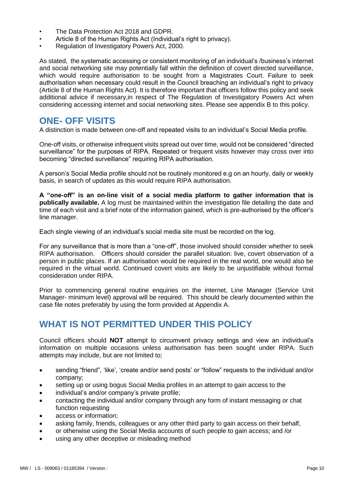- The Data Protection Act 2018 and GDPR.
- Article 8 of the Human Rights Act (Individual's right to privacy).
- Regulation of Investigatory Powers Act, 2000.

As stated, the systematic accessing or consistent monitoring of an individual's /business's internet and social networking site may potentially fall within the definition of covert directed surveillance, which would require authorisation to be sought from a Magistrates Court. Failure to seek authorisation when necessary could result in the Council breaching an individual's right to privacy (Article 8 of the Human Rights Act). It is therefore important that officers follow this policy and seek additional advice if necessary,in respect of The Regulation of Investigatory Powers Act when considering accessing internet and social networking sites. Please see appendix B to this policy.

#### **ONE- OFF VISITS**

A distinction is made between one-off and repeated visits to an individual's Social Media profile.

One-off visits, or otherwise infrequent visits spread out over time, would not be considered "directed surveillance" for the purposes of RIPA. Repeated or frequent visits however may cross over into becoming "directed surveillance" requiring RIPA authorisation.

A person's Social Media profile should not be routinely monitored e.g on an hourly, daily or weekly basis, in search of updates as this would require RIPA authorisation.

**A "one-off" is an on-line visit of a social media platform to gather information that is publically available.** A log must be maintained within the investigation file detailing the date and time of each visit and a brief note of the information gained, which is pre-authorised by the officer's line manager.

Each single viewing of an individual's social media site must be recorded on the log.

For any surveillance that is more than a "one-off", those involved should consider whether to seek RIPA authorisation. Officers should consider the parallel situation: live, covert observation of a person in public places. If an authorisation would be required in the real world, one would also be required in the virtual world. Continued covert visits are likely to be unjustifiable without formal consideration under RIPA.

Prior to commencing general routine enquiries on the internet, Line Manager (Service Unit Manager- minimum level) approval will be required. This should be clearly documented within the case file notes preferably by using the form provided at Appendix A.

#### **WHAT IS NOT PERMITTED UNDER THIS POLICY**

Council officers should **NOT** attempt to circumvent privacy settings and view an individual's information on multiple occasions unless authorisation has been sought under RIPA. Such attempts may include, but are not limited to;

- sending "friend", 'like', 'create and/or send posts' or "follow" requests to the individual and/or company;
- setting up or using bogus Social Media profiles in an attempt to gain access to the
- individual's and/or company's private profile;
- contacting the individual and/or company through any form of instant messaging or chat function requesting
- access or information;
- asking family, friends, colleagues or any other third party to gain access on their behalf,
- or otherwise using the Social Media accounts of such people to gain access; and /or
- using any other deceptive or misleading method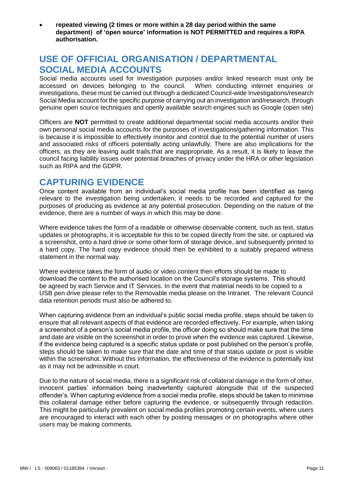**repeated viewing (2 times or more within a 28 day period within the same department) of 'open source' information is NOT PERMITTED and requires a RIPA authorisation.**

#### **USE OF OFFICIAL ORGANISATION / DEPARTMENTAL SOCIAL MEDIA ACCOUNTS**

Social media accounts used for investigation purposes and/or linked research must only be accessed on devices belonging to the council. When conducting internet enquiries or investigations, these must be carried out through a dedicated Council-wide Investigations/research Social Media account for the specific purpose of carrying out an investigation and/research, through genuine open source techniques and openly available search engines such as Google (open site)

Officers are **NOT** permitted to create additional departmental social media accounts and/or their own personal social media accounts for the purposes of investigations/gathering information. This is because it is impossible to effectively monitor and control due to the potential number of users and associated risks of officers potentially acting unlawfully. There are also implications for the officers, as they are leaving audit trails,that are inappropriate. As a result, it is likely to leave the council facing liability issues over potential breaches of privacy under the HRA or other legislation such as RIPA and the GDPR.

#### **CAPTURING EVIDENCE**

Once content available from an individual's social media profile has been identified as being relevant to the investigation being undertaken, it needs to be recorded and captured for the purposes of producing as evidence at any potential prosecution. Depending on the nature of the evidence, there are a number of ways in which this may be done.

Where evidence takes the form of a readable or otherwise observable content, such as text, status updates or photographs, it is acceptable for this to be copied directly from the site, or captured via a screenshot, onto a hard drive or some other form of storage device, and subsequently printed to a hard copy. The hard copy evidence should then be exhibited to a suitably prepared witness statement in the normal way.

Where evidence takes the form of audio or video content then efforts should be made to download the content to the authorised location on the Council's storage systems. This should be agreed by each Service and IT Services. In the event that material needs to be copied to a USB pen drive please refer to the Removable media please on the Intranet. The relevant Council data retention periods must also be adhered to.

When capturing evidence from an individual's public social media profile, steps should be taken to ensure that all relevant aspects of that evidence are recorded effectively. For example, when taking a screenshot of a person's social media profile, the officer doing so should make sure that the time and date are visible on the screenshot in order to prove when the evidence was captured. Likewise, if the evidence being captured is a specific status update or post published on the person's profile, steps should be taken to make sure that the date and time of that status update or post is visible within the screenshot. Without this information, the effectiveness of the evidence is potentially lost as it may not be admissible in court.

Due to the nature of social media, there is a significant risk of collateral damage in the form of other, innocent parties' information being inadvertently captured alongside that of the suspected offender's. When capturing evidence from a social media profile, steps should be taken to minimise this collateral damage either before capturing the evidence, or subsequently through redaction. This might be particularly prevalent on social media profiles promoting certain events, where users are encouraged to interact with each other by posting messages or on photographs where other users may be making comments.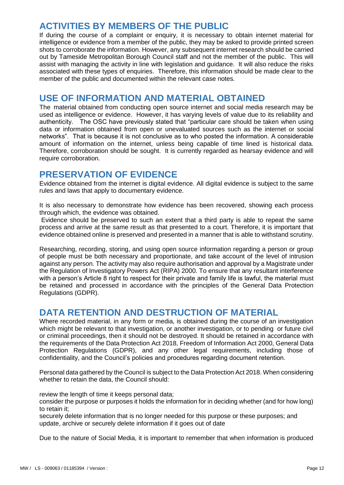#### **ACTIVITIES BY MEMBERS OF THE PUBLIC**

If during the course of a complaint or enquiry, it is necessary to obtain internet material for intelligence or evidence from a member of the public, they may be asked to provide printed screen shots to corroborate the information. However, any subsequent internet research should be carried out by Tameside Metropolitan Borough Council staff and not the member of the public. This will assist with managing the activity in line with legislation and guidance. It will also reduce the risks associated with these types of enquiries. Therefore, this information should be made clear to the member of the public and documented within the relevant case notes.

#### **USE OF INFORMATION AND MATERIAL OBTAINED**

The material obtained from conducting open source internet and social media research may be used as intelligence or evidence. However, it has varying levels of value due to its reliability and authenticity. The OSC have previously stated that "particular care should be taken when using data or information obtained from open or unevaluated sources such as the internet or social networks". That is because it is not conclusive as to who posted the information. A considerable amount of information on the internet, unless being capable of time lined is historical data. Therefore, corroboration should be sought. It is currently regarded as hearsay evidence and will require corroboration.

#### **PRESERVATION OF EVIDENCE**

Evidence obtained from the internet is digital evidence. All digital evidence is subject to the same rules and laws that apply to documentary evidence.

It is also necessary to demonstrate how evidence has been recovered, showing each process through which, the evidence was obtained.

Evidence should be preserved to such an extent that a third party is able to repeat the same process and arrive at the same result as that presented to a court. Therefore, it is important that evidence obtained online is preserved and presented in a manner that is able to withstand scrutiny.

Researching, recording, storing, and using open source information regarding a person or group of people must be both necessary and proportionate, and take account of the level of intrusion against any person. The activity may also require authorisation and approval by a Magistrate under the Regulation of Investigatory Powers Act (RIPA) 2000. To ensure that any resultant interference with a person's Article 8 right to respect for their private and family life is lawful, the material must be retained and processed in accordance with the principles of the General Data Protection Regulations (GDPR).

#### **DATA RETENTION AND DESTRUCTION OF MATERIAL**

Where recorded material, in any form or media, is obtained during the course of an investigation which might be relevant to that investigation, or another investigation, or to pending or future civil or criminal proceedings, then it should not be destroyed. It should be retained in accordance with the requirements of the Data Protection Act 2018, Freedom of Information Act 2000, General Data Protection Regulations (GDPR), and any other legal requirements, including those of confidentiality, and the Council's policies and procedures regarding document retention.

Personal data gathered by the Council is subject to the Data Protection Act 2018. When considering whether to retain the data, the Council should:

review the length of time it keeps personal data:

consider the purpose or purposes it holds the information for in deciding whether (and for how long) to retain it;

securely delete information that is no longer needed for this purpose or these purposes; and update, archive or securely delete information if it goes out of date

Due to the nature of Social Media, it is important to remember that when information is produced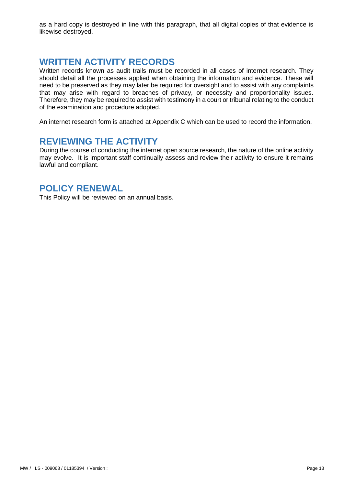as a hard copy is destroyed in line with this paragraph, that all digital copies of that evidence is likewise destroyed.

#### **WRITTEN ACTIVITY RECORDS**

Written records known as audit trails must be recorded in all cases of internet research. They should detail all the processes applied when obtaining the information and evidence. These will need to be preserved as they may later be required for oversight and to assist with any complaints that may arise with regard to breaches of privacy, or necessity and proportionality issues. Therefore, they may be required to assist with testimony in a court or tribunal relating to the conduct of the examination and procedure adopted.

An internet research form is attached at Appendix C which can be used to record the information.

#### **REVIEWING THE ACTIVITY**

During the course of conducting the internet open source research, the nature of the online activity may evolve. It is important staff continually assess and review their activity to ensure it remains lawful and compliant.

#### **POLICY RENEWAL**

This Policy will be reviewed on an annual basis.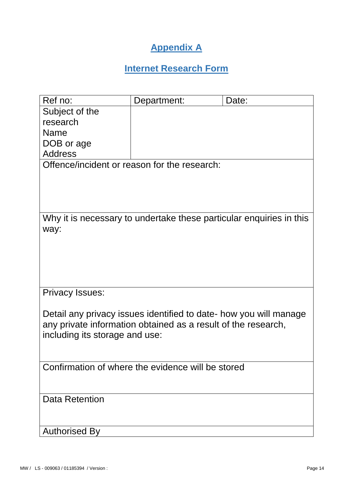## **Appendix A**

# **Internet Research Form**

| Ref no:                                                             | Department:                                                       | Date: |  |  |
|---------------------------------------------------------------------|-------------------------------------------------------------------|-------|--|--|
| Subject of the                                                      |                                                                   |       |  |  |
| research                                                            |                                                                   |       |  |  |
| <b>Name</b>                                                         |                                                                   |       |  |  |
| DOB or age                                                          |                                                                   |       |  |  |
| <b>Address</b>                                                      |                                                                   |       |  |  |
|                                                                     | Offence/incident or reason for the research:                      |       |  |  |
|                                                                     |                                                                   |       |  |  |
|                                                                     |                                                                   |       |  |  |
|                                                                     |                                                                   |       |  |  |
| Why it is necessary to undertake these particular enquiries in this |                                                                   |       |  |  |
| way:                                                                |                                                                   |       |  |  |
|                                                                     |                                                                   |       |  |  |
|                                                                     |                                                                   |       |  |  |
|                                                                     |                                                                   |       |  |  |
|                                                                     |                                                                   |       |  |  |
| <b>Privacy Issues:</b>                                              |                                                                   |       |  |  |
|                                                                     |                                                                   |       |  |  |
|                                                                     | Detail any privacy issues identified to date- how you will manage |       |  |  |
|                                                                     | any private information obtained as a result of the research,     |       |  |  |
| including its storage and use:                                      |                                                                   |       |  |  |
|                                                                     |                                                                   |       |  |  |
|                                                                     | Confirmation of where the evidence will be stored                 |       |  |  |
|                                                                     |                                                                   |       |  |  |
|                                                                     |                                                                   |       |  |  |
| <b>Data Retention</b>                                               |                                                                   |       |  |  |
|                                                                     |                                                                   |       |  |  |
|                                                                     |                                                                   |       |  |  |
| <b>Authorised By</b>                                                |                                                                   |       |  |  |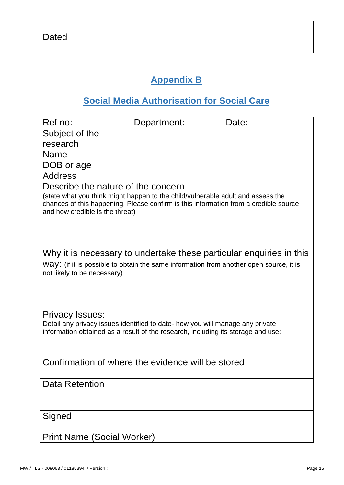# **Appendix B**

# **Social Media Authorisation for Social Care**

| Ref no:                                                                                                                                                                                                                                          | Department: | Date: |  |  |
|--------------------------------------------------------------------------------------------------------------------------------------------------------------------------------------------------------------------------------------------------|-------------|-------|--|--|
| Subject of the                                                                                                                                                                                                                                   |             |       |  |  |
| research                                                                                                                                                                                                                                         |             |       |  |  |
| Name                                                                                                                                                                                                                                             |             |       |  |  |
| DOB or age                                                                                                                                                                                                                                       |             |       |  |  |
| <b>Address</b>                                                                                                                                                                                                                                   |             |       |  |  |
| Describe the nature of the concern<br>(state what you think might happen to the child/vulnerable adult and assess the<br>chances of this happening. Please confirm is this information from a credible source<br>and how credible is the threat) |             |       |  |  |
| Why it is necessary to undertake these particular enquiries in this                                                                                                                                                                              |             |       |  |  |
| WAY: (if it is possible to obtain the same information from another open source, it is                                                                                                                                                           |             |       |  |  |
| not likely to be necessary)                                                                                                                                                                                                                      |             |       |  |  |
| <b>Privacy Issues:</b>                                                                                                                                                                                                                           |             |       |  |  |
| Detail any privacy issues identified to date- how you will manage any private<br>information obtained as a result of the research, including its storage and use:                                                                                |             |       |  |  |
| Confirmation of where the evidence will be stored                                                                                                                                                                                                |             |       |  |  |
| <b>Data Retention</b>                                                                                                                                                                                                                            |             |       |  |  |
| Signed                                                                                                                                                                                                                                           |             |       |  |  |
| <b>Print Name (Social Worker)</b>                                                                                                                                                                                                                |             |       |  |  |